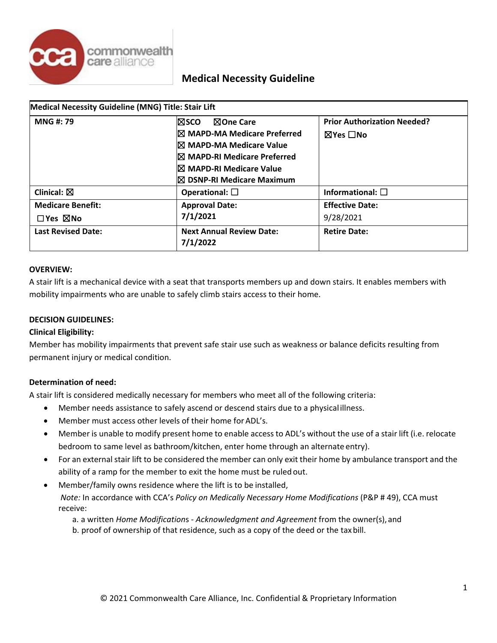

| Medical Necessity Guideline (MNG) Title: Stair Lift |                                             |                                    |
|-----------------------------------------------------|---------------------------------------------|------------------------------------|
| <b>MNG#: 79</b>                                     | <b>NOne Care</b><br>l⊠sco                   | <b>Prior Authorization Needed?</b> |
|                                                     | $\boxtimes$ MAPD-MA Medicare Preferred      | ⊠Yes □No                           |
|                                                     | $\boxtimes$ MAPD-MA Medicare Value          |                                    |
|                                                     | $\boxtimes$ MAPD-RI Medicare Preferred      |                                    |
|                                                     | $\boxtimes$ MAPD-RI Medicare Value          |                                    |
|                                                     | $\boxtimes$ DSNP-RI Medicare Maximum        |                                    |
| Clinical: $\boxtimes$                               | Operational: $\square$                      | Informational: $\square$           |
| <b>Medicare Benefit:</b>                            | <b>Approval Date:</b>                       | <b>Effective Date:</b>             |
| $\square$ Yes $\square$ No                          | 7/1/2021                                    | 9/28/2021                          |
| <b>Last Revised Date:</b>                           | <b>Next Annual Review Date:</b><br>7/1/2022 | <b>Retire Date:</b>                |

#### **OVERVIEW:**

A stair lift is a mechanical device with a seat that transports members up and down stairs. It enables members with mobility impairments who are unable to safely climb stairs access to their home.

#### **DECISION GUIDELINES:**

### **Clinical Eligibility:**

Member has mobility impairments that prevent safe stair use such as weakness or balance deficits resulting from permanent injury or medical condition.

### **Determination of need:**

A stair lift is considered medically necessary for members who meet all of the following criteria:

- Member needs assistance to safely ascend or descend stairs due to a physicalillness.
- Member must access other levels of their home for ADL's.
- Member is unable to modify present home to enable access to ADL's without the use of a stair lift (i.e. relocate bedroom to same level as bathroom/kitchen, enter home through an alternate entry).
- For an external stair lift to be considered the member can only exit their home by ambulance transport and the ability of a ramp for the member to exit the home must be ruled out.
- Member/family owns residence where the lift is to be installed,

*Note: In accordance with CCA's Policy on Medically Necessary Home Modifications (P&P # 49), CCA must* receive:

- a. a written *Home Modification*s *Acknowledgment and Agreement* from the owner(s),and
- b. proof of ownership of that residence, such as a copy of the deed or the tax bill.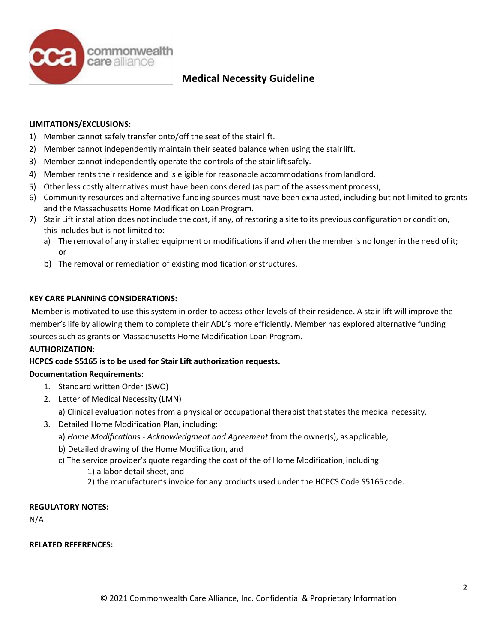

## **LIMITATIONS/EXCLUSIONS:**

- 1) Member cannot safely transfer onto/off the seat of the stairlift.
- 2) Member cannot independently maintain their seated balance when using the stairlift.
- 3) Member cannot independently operate the controls of the stair lift safely.
- 4) Member rents their residence and is eligible for reasonable accommodations fromlandlord.
- 5) Other less costly alternatives must have been considered (as part of the assessmentprocess),
- 6) Community resources and alternative funding sources must have been exhausted, including but not limited to grants and the Massachusetts Home Modification Loan Program.
- 7) Stair Lift installation does not include the cost, if any, of restoring a site to its previous configuration or condition, this includes but is not limited to:
	- a) The removal of any installed equipment or modifications if and when the member is no longer in the need of it; or
	- b) The removal or remediation of existing modification or structures.

## **KEY CARE PLANNING CONSIDERATIONS:**

Member is motivated to use this system in order to access other levels of their residence. A stair lift will improve the member's life by allowing them to complete their ADL's more efficiently. Member has explored alternative funding sources such as grants or Massachusetts Home Modification Loan Program.

## **AUTHORIZATION:**

## **HCPCS code S5165 is to be used for Stair Lift authorization requests.**

## **Documentation Requirements:**

- 1. Standard written Order (SWO)
- 2. Letter of Medical Necessity (LMN)
	- a) Clinical evaluation notes from a physical or occupational therapist that states the medicalnecessity.
- 3. Detailed Home Modification Plan, including:
	- a) *Home Modification*s *Acknowledgment and Agreement* from the owner(s), asapplicable,
	- b) Detailed drawing of the Home Modification, and
	- c) The service provider's quote regarding the cost of the of Home Modification,including:
		- 1) a labor detail sheet, and
		- 2) the manufacturer's invoice for any products used under the HCPCS Code S5165code.

### **REGULATORY NOTES:**

N/A

### **RELATED REFERENCES:**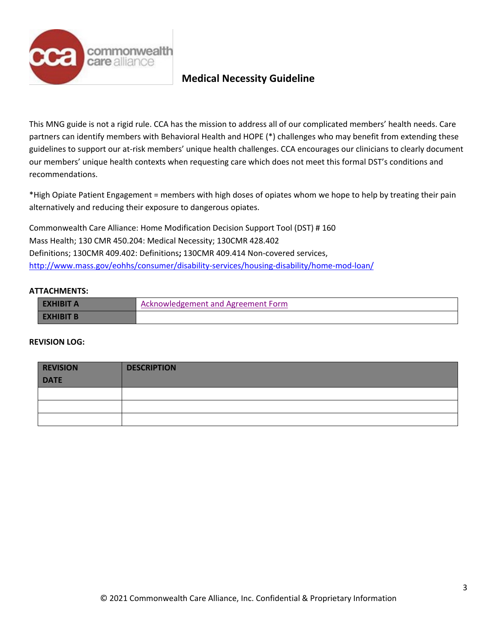

This MNG guide is not a rigid rule. CCA has the mission to address all of our complicated members' health needs. Care partners can identify members with Behavioral Health and HOPE (\*) challenges who may benefit from extending these guidelines to support our at-risk members' unique health challenges. CCA encourages our clinicians to clearly document our members' unique health contexts when requesting care which does not meet this formal DST's conditions and recommendations.

\*High Opiate Patient Engagement = members with high doses of opiates whom we hope to help by treating their pain alternatively and reducing their exposure to dangerous opiates.

Commonwealth Care Alliance: Home Modification Decision Support Tool (DST) # 160 Mass Health; 130 CMR 450.204: Medical Necessity; 130CMR 428.402 Definitions; 130CMR 409.402: Definitions**;** 130CMR 409.414 Non-covered services, <http://www.mass.gov/eohhs/consumer/disability-services/housing-disability/home-mod-loan/>

## **ATTACHMENTS:**

| Acknowledgement and Agreement Form |
|------------------------------------|
|                                    |

#### **REVISION LOG:**

| <b>REVISION</b> | <b>DESCRIPTION</b> |
|-----------------|--------------------|
| <b>DATE</b>     |                    |
|                 |                    |
|                 |                    |
|                 |                    |